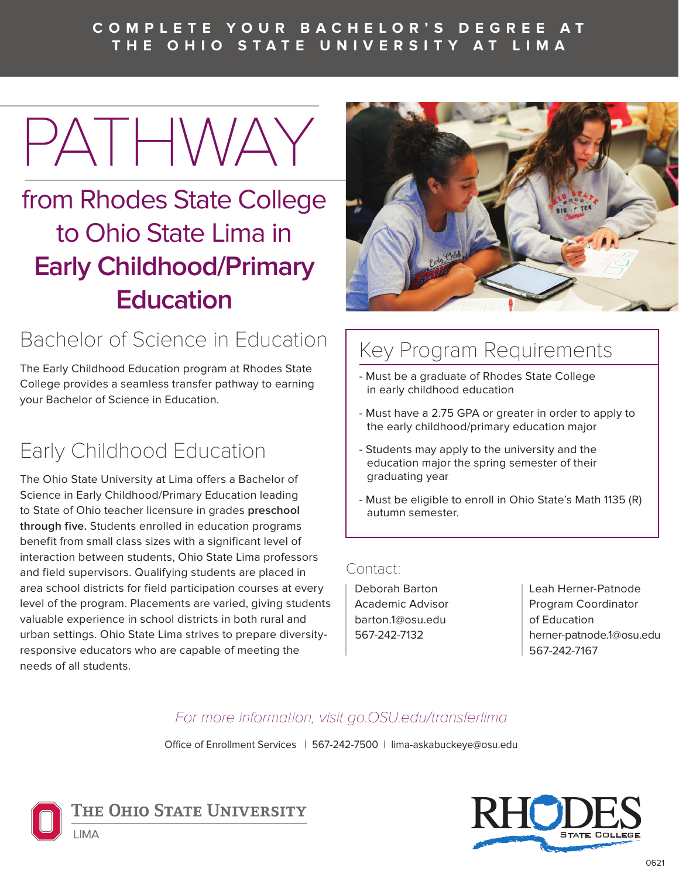#### **C O M P L E T E Y O U R B A C H E L O R ' S D E G R E E A T THE OHIO STATE UNIVERSITY AT LIMA**

PATHWAY

## from Rhodes State College to Ohio State Lima in **Early Childhood/Primary Education**

## Bachelor of Science in Education

The Early Childhood Education program at Rhodes State College provides a seamless transfer pathway to earning your Bachelor of Science in Education.

## Early Childhood Education

The Ohio State University at Lima offers a Bachelor of Science in Early Childhood/Primary Education leading to State of Ohio teacher licensure in grades **preschool through five.** Students enrolled in education programs benefit from small class sizes with a significant level of interaction between students, Ohio State Lima professors and field supervisors. Qualifying students are placed in area school districts for field participation courses at every level of the program. Placements are varied, giving students valuable experience in school districts in both rural and urban settings. Ohio State Lima strives to prepare diversityresponsive educators who are capable of meeting the needs of all students.



## Key Program Requirements

- Must be a graduate of Rhodes State College in early childhood education
- Must have a 2.75 GPA or greater in order to apply to the early childhood/primary education major
- Students may apply to the university and the education major the spring semester of their graduating year
- Must be eligible to enroll in Ohio State's Math 1135 (R) autumn semester.

#### Contact:

Deborah Barton Academic Advisor barton.1@osu.edu 567-242-7132

Leah Herner-Patnode Program Coordinator of Education herner-patnode.1@osu.edu 567-242-7167

#### For more information, visit go.OSU.edu/transferlima

Office of Enrollment Services | 567-242-7500 | lima-askabuckeye@osu.edu